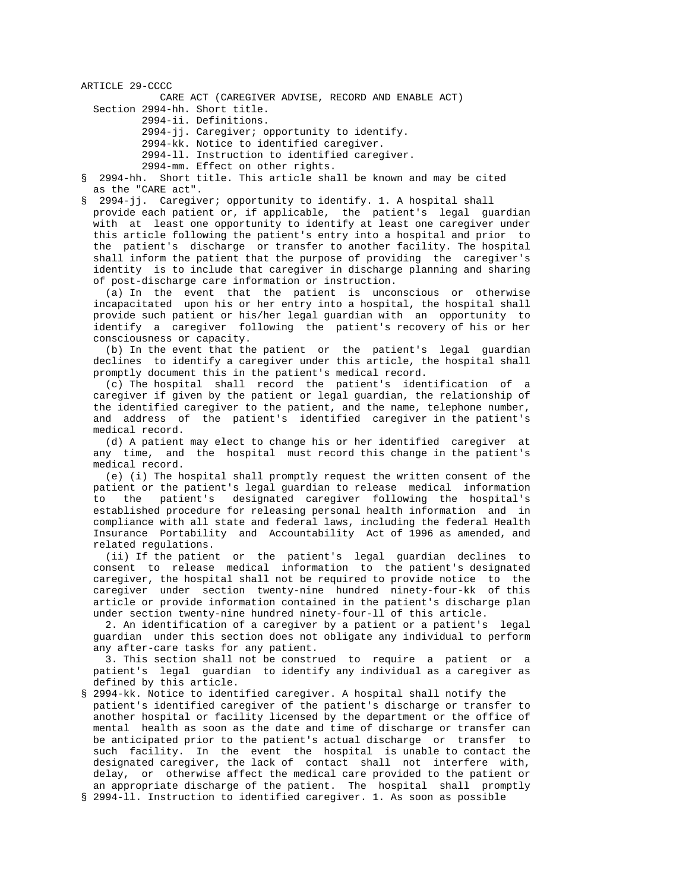ARTICLE 29-CCCC CARE ACT (CAREGIVER ADVISE, RECORD AND ENABLE ACT)

Section 2994-hh. Short title.

2994-ii. Definitions.

2994-jj. Caregiver; opportunity to identify.

2994-kk. Notice to identified caregiver.

2994-ll. Instruction to identified caregiver.

2994-mm. Effect on other rights.<br>S. 2994-hh. Short title, This article sha

§ 2994-hh. Short title. This article shall be known and may be cited as the "CARE act".

§ 2994-jj. Caregiver; opportunity to identify. 1. A hospital shall

 provide each patient or, if applicable, the patient's legal guardian with at least one opportunity to identify at least one caregiver under this article following the patient's entry into a hospital and prior to the patient's discharge or transfer to another facility. The hospital shall inform the patient that the purpose of providing the caregiver's identity is to include that caregiver in discharge planning and sharing of post-discharge care information or instruction.

 (a) In the event that the patient is unconscious or otherwise incapacitated upon his or her entry into a hospital, the hospital shall provide such patient or his/her legal guardian with an opportunity to identify a caregiver following the patient's recovery of his or her consciousness or capacity.

 (b) In the event that the patient or the patient's legal guardian declines to identify a caregiver under this article, the hospital shall promptly document this in the patient's medical record.

 (c) The hospital shall record the patient's identification of a caregiver if given by the patient or legal guardian, the relationship of the identified caregiver to the patient, and the name, telephone number, and address of the patient's identified caregiver in the patient's medical record.

 (d) A patient may elect to change his or her identified caregiver at any time, and the hospital must record this change in the patient's medical record.

 (e) (i) The hospital shall promptly request the written consent of the patient or the patient's legal guardian to release medical information<br>to the patient's designated caregiver following the hospital's the patient's designated caregiver following the hospital's established procedure for releasing personal health information and in compliance with all state and federal laws, including the federal Health Insurance Portability and Accountability Act of 1996 as amended, and related regulations.

 (ii) If the patient or the patient's legal guardian declines to consent to release medical information to the patient's designated caregiver, the hospital shall not be required to provide notice to the caregiver under section twenty-nine hundred ninety-four-kk of this article or provide information contained in the patient's discharge plan under section twenty-nine hundred ninety-four-ll of this article.

 2. An identification of a caregiver by a patient or a patient's legal guardian under this section does not obligate any individual to perform any after-care tasks for any patient.

 3. This section shall not be construed to require a patient or a patient's legal guardian to identify any individual as a caregiver as defined by this article.

- § 2994-kk. Notice to identified caregiver. A hospital shall notify the patient's identified caregiver of the patient's discharge or transfer to another hospital or facility licensed by the department or the office of mental health as soon as the date and time of discharge or transfer can be anticipated prior to the patient's actual discharge or transfer to such facility. In the event the hospital is unable to contact the designated caregiver, the lack of contact shall not interfere with, delay, or otherwise affect the medical care provided to the patient or an appropriate discharge of the patient. The hospital shall promptly
- § 2994-ll. Instruction to identified caregiver. 1. As soon as possible